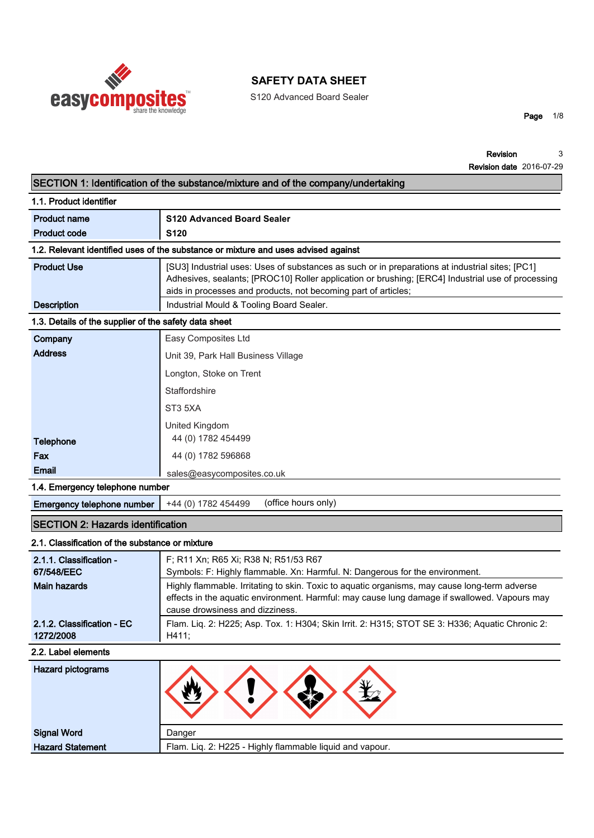

S120 Advanced Board Sealer

**Page 1/8**

|                                                       | SECTION 1: Identification of the substance/mixture and of the company/undertaking                                                                                                                                                                                      |
|-------------------------------------------------------|------------------------------------------------------------------------------------------------------------------------------------------------------------------------------------------------------------------------------------------------------------------------|
| 1.1. Product identifier                               |                                                                                                                                                                                                                                                                        |
| <b>Product name</b>                                   | <b>S120 Advanced Board Sealer</b>                                                                                                                                                                                                                                      |
| <b>Product code</b>                                   | S <sub>120</sub>                                                                                                                                                                                                                                                       |
|                                                       | 1.2. Relevant identified uses of the substance or mixture and uses advised against                                                                                                                                                                                     |
| <b>Product Use</b>                                    | [SU3] Industrial uses: Uses of substances as such or in preparations at industrial sites; [PC1]<br>Adhesives, sealants; [PROC10] Roller application or brushing; [ERC4] Industrial use of processing<br>aids in processes and products, not becoming part of articles; |
| <b>Description</b>                                    | Industrial Mould & Tooling Board Sealer.                                                                                                                                                                                                                               |
| 1.3. Details of the supplier of the safety data sheet |                                                                                                                                                                                                                                                                        |
| Company                                               | Easy Composites Ltd                                                                                                                                                                                                                                                    |
| <b>Address</b>                                        | Unit 39, Park Hall Business Village                                                                                                                                                                                                                                    |
|                                                       | Longton, Stoke on Trent                                                                                                                                                                                                                                                |
|                                                       | Staffordshire                                                                                                                                                                                                                                                          |
|                                                       | ST <sub>3</sub> 5XA                                                                                                                                                                                                                                                    |
| <b>Telephone</b>                                      | United Kingdom<br>44 (0) 1782 454499                                                                                                                                                                                                                                   |
| Fax                                                   | 44 (0) 1782 596868                                                                                                                                                                                                                                                     |
| <b>Email</b>                                          | sales@easycomposites.co.uk                                                                                                                                                                                                                                             |
| 1.4. Emergency telephone number                       |                                                                                                                                                                                                                                                                        |
| Emergency telephone number                            | (office hours only)<br>+44 (0) 1782 454499                                                                                                                                                                                                                             |
| <b>SECTION 2: Hazards identification</b>              |                                                                                                                                                                                                                                                                        |
| 2.1. Classification of the substance or mixture       |                                                                                                                                                                                                                                                                        |
| 2.1.1. Classification -                               | F; R11 Xn; R65 Xi; R38 N; R51/53 R67                                                                                                                                                                                                                                   |
| 67/548/EEC                                            | Symbols: F: Highly flammable. Xn: Harmful. N: Dangerous for the environment.                                                                                                                                                                                           |
| <b>Main hazards</b>                                   | Highly flammable. Irritating to skin. Toxic to aquatic organisms, may cause long-term adverse<br>effects in the aquatic environment. Harmful: may cause lung damage if swallowed. Vapours may<br>cause drowsiness and dizziness.                                       |
| 2.1.2. Classification - EC<br>1272/2008               | Flam. Liq. 2: H225; Asp. Tox. 1: H304; Skin Irrit. 2: H315; STOT SE 3: H336; Aquatic Chronic 2:<br>H411;                                                                                                                                                               |
| 2.2. Label elements                                   |                                                                                                                                                                                                                                                                        |
| <b>Hazard pictograms</b>                              |                                                                                                                                                                                                                                                                        |
| <b>Signal Word</b>                                    | Danger                                                                                                                                                                                                                                                                 |
| <b>Hazard Statement</b>                               | Flam. Liq. 2: H225 - Highly flammable liquid and vapour.                                                                                                                                                                                                               |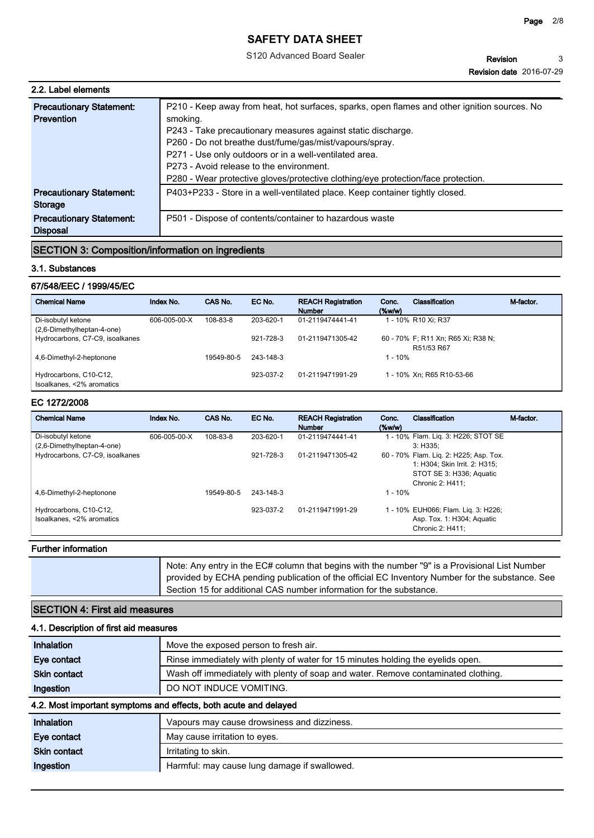S120 Advanced Board Sealer

| 2.2. Label elements                                      |              |          |                                          |                                                                                              |                    |                     |           |
|----------------------------------------------------------|--------------|----------|------------------------------------------|----------------------------------------------------------------------------------------------|--------------------|---------------------|-----------|
| <b>Precautionary Statement:</b>                          |              |          |                                          | P210 - Keep away from heat, hot surfaces, sparks, open flames and other ignition sources. No |                    |                     |           |
| <b>Prevention</b>                                        | smoking.     |          |                                          |                                                                                              |                    |                     |           |
|                                                          |              |          |                                          | P243 - Take precautionary measures against static discharge.                                 |                    |                     |           |
|                                                          |              |          |                                          | P260 - Do not breathe dust/fume/gas/mist/vapours/spray.                                      |                    |                     |           |
|                                                          |              |          |                                          | P271 - Use only outdoors or in a well-ventilated area.                                       |                    |                     |           |
|                                                          |              |          | P273 - Avoid release to the environment. |                                                                                              |                    |                     |           |
|                                                          |              |          |                                          | P280 - Wear protective gloves/protective clothing/eye protection/face protection.            |                    |                     |           |
| <b>Precautionary Statement:</b><br>Storage               |              |          |                                          | P403+P233 - Store in a well-ventilated place. Keep container tightly closed.                 |                    |                     |           |
| <b>Precautionary Statement:</b><br><b>Disposal</b>       |              |          |                                          | P501 - Dispose of contents/container to hazardous waste                                      |                    |                     |           |
| <b>SECTION 3: Composition/information on ingredients</b> |              |          |                                          |                                                                                              |                    |                     |           |
| 3.1. Substances                                          |              |          |                                          |                                                                                              |                    |                     |           |
| 67/548/EEC / 1999/45/EC                                  |              |          |                                          |                                                                                              |                    |                     |           |
| <b>Chemical Name</b>                                     | Index No.    | CAS No.  | EC No.                                   | <b>REACH Registration</b><br><b>Number</b>                                                   | Conc.<br>$(\%w/w)$ | Classification      | M-factor. |
| Di-isobutyl ketone<br>(2.6-Dimethylheptan-4-one)         | 606-005-00-X | 108-83-8 | 203-620-1                                | 01-2119474441-41                                                                             |                    | 1 - 10% R10 Xi; R37 |           |

# **SECTION 3: Composition/information on ingredients**

## **3.1. Substances**

## **67/548/EEC / 1999/45/EC**

| <b>Precautionary Statement:</b><br><b>Disposal</b>       |              |            |           | P501 - Dispose of contents/container to hazardous waste |                       |                                                                         |           |
|----------------------------------------------------------|--------------|------------|-----------|---------------------------------------------------------|-----------------------|-------------------------------------------------------------------------|-----------|
| <b>SECTION 3: Composition/information on ingredients</b> |              |            |           |                                                         |                       |                                                                         |           |
| 3.1. Substances                                          |              |            |           |                                                         |                       |                                                                         |           |
| 67/548/EEC / 1999/45/EC                                  |              |            |           |                                                         |                       |                                                                         |           |
| <b>Chemical Name</b>                                     | Index No.    | CAS No.    | EC No.    | <b>REACH Registration</b><br><b>Number</b>              | Conc.<br>$(\%w/w)$    | <b>Classification</b>                                                   | M-factor. |
| Di-isobutyl ketone<br>(2,6-Dimethylheptan-4-one)         | 606-005-00-X | 108-83-8   | 203-620-1 | 01-2119474441-41                                        |                       | 1 - 10% R10 Xi; R37                                                     |           |
| Hydrocarbons, C7-C9, isoalkanes                          |              |            | 921-728-3 | 01-2119471305-42                                        |                       | 60 - 70% F; R11 Xn; R65 Xi; R38 N;<br>R51/53 R67                        |           |
| 4,6-Dimethyl-2-heptonone                                 |              | 19549-80-5 | 243-148-3 |                                                         | $1 - 10%$             |                                                                         |           |
| Hydrocarbons, C10-C12,<br>Isoalkanes, <2% aromatics      |              |            | 923-037-2 | 01-2119471991-29                                        |                       | 1 - 10% Xn; R65 R10-53-66                                               |           |
| EC 1272/2008                                             |              |            |           |                                                         |                       |                                                                         |           |
| <b>Chemical Name</b>                                     | Index No.    | CAS No.    | EC No.    | <b>REACH Registration</b><br><b>Number</b>              | Conc.<br>$($ %w/w $)$ | <b>Classification</b>                                                   | M-factor. |
| Di-isobutyl ketone<br>(2,6-Dimethylheptan-4-one)         | 606-005-00-X | 108-83-8   | 203-620-1 | 01-2119474441-41                                        |                       | 1 - 10% Flam. Lig. 3: H226; STOT SE<br>3: H335:                         |           |
| Hydrocarbons, C7-C9, isoalkanes                          |              |            | 921-728-3 | 01-2119471305-42                                        |                       | 60 - 70% Flam. Lig. 2: H225; Asp. Tox.<br>1: H304: Skin Irrit. 2: H315: |           |

### **EC 1272/2008**

| 4,6-Dimethyl-2-heptonone                            |              | 19549-80-5 | 243-148-3 |                                            | $1 - 10%$          | R51/53 R67                                                                                                              |           |
|-----------------------------------------------------|--------------|------------|-----------|--------------------------------------------|--------------------|-------------------------------------------------------------------------------------------------------------------------|-----------|
| Hydrocarbons, C10-C12,<br>Isoalkanes, <2% aromatics |              |            | 923-037-2 | 01-2119471991-29                           |                    | 1 - 10% Xn; R65 R10-53-66                                                                                               |           |
| EC 1272/2008                                        |              |            |           |                                            |                    |                                                                                                                         |           |
| <b>Chemical Name</b>                                | Index No.    | CAS No.    | EC No.    | <b>REACH Registration</b><br><b>Number</b> | Conc.<br>$(\%w/w)$ | Classification                                                                                                          | M-factor. |
| Di-isobutyl ketone<br>(2,6-Dimethylheptan-4-one)    | 606-005-00-X | 108-83-8   | 203-620-1 | 01-2119474441-41                           |                    | 1 - 10% Flam. Lig. 3: H226; STOT SE<br>3: H335:                                                                         |           |
| Hydrocarbons, C7-C9, isoalkanes                     |              |            | 921-728-3 | 01-2119471305-42                           |                    | 60 - 70% Flam. Lig. 2: H225; Asp. Tox.<br>1: H304; Skin Irrit. 2: H315;<br>STOT SE 3: H336; Aquatic<br>Chronic 2: H411; |           |
| 4,6-Dimethyl-2-heptonone                            |              | 19549-80-5 | 243-148-3 |                                            | $1 - 10%$          |                                                                                                                         |           |
| Hydrocarbons, C10-C12,<br>Isoalkanes, <2% aromatics |              |            | 923-037-2 | 01-2119471991-29                           |                    | 1 - 10% EUH066; Flam. Liq. 3: H226;<br>Asp. Tox. 1: H304; Aquatic<br>Chronic 2: H411;                                   |           |

## **Further information**

|--|

## **SECTION 4: First aid measures**

| 4.1. Description of first aid measures |                                                                                   |  |  |  |
|----------------------------------------|-----------------------------------------------------------------------------------|--|--|--|
| Inhalation                             | Move the exposed person to fresh air.                                             |  |  |  |
| Eye contact                            | Rinse immediately with plenty of water for 15 minutes holding the eyelids open.   |  |  |  |
| <b>Skin contact</b>                    | Wash off immediately with plenty of soap and water. Remove contaminated clothing. |  |  |  |
| Ingestion                              | DO NOT INDUCE VOMITING.                                                           |  |  |  |
|                                        | 4.2. Most important symptoms and effects, both acute and delayed                  |  |  |  |
| Inhalation                             | Vapours may cause drowsiness and dizziness.                                       |  |  |  |
| Eye contact                            | May cause irritation to eyes.                                                     |  |  |  |
| <b>Skin contact</b>                    | Irritating to skin.                                                               |  |  |  |
| Ingestion                              | Harmful: may cause lung damage if swallowed.                                      |  |  |  |
|                                        |                                                                                   |  |  |  |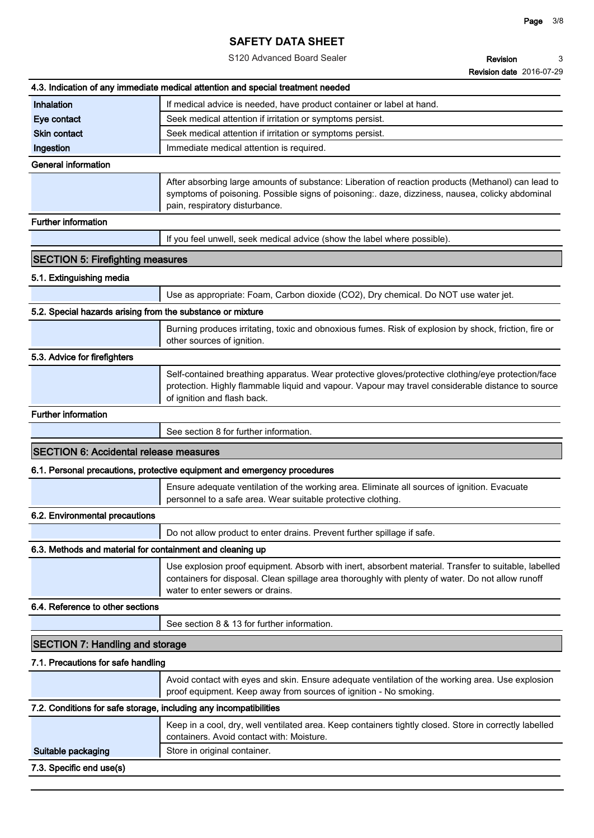S120 Advanced Board Sealer

**Revision Revision date 2016-07-29 3**

|                                                                   | 4.3. Indication of any immediate medical attention and special treatment needed                                                                                                                                                               |
|-------------------------------------------------------------------|-----------------------------------------------------------------------------------------------------------------------------------------------------------------------------------------------------------------------------------------------|
| Inhalation                                                        | If medical advice is needed, have product container or label at hand.                                                                                                                                                                         |
| Eye contact                                                       | Seek medical attention if irritation or symptoms persist.                                                                                                                                                                                     |
| <b>Skin contact</b>                                               | Seek medical attention if irritation or symptoms persist.                                                                                                                                                                                     |
| Ingestion                                                         | Immediate medical attention is required.                                                                                                                                                                                                      |
| <b>General information</b>                                        |                                                                                                                                                                                                                                               |
|                                                                   | After absorbing large amounts of substance: Liberation of reaction products (Methanol) can lead to<br>symptoms of poisoning. Possible signs of poisoning:. daze, dizziness, nausea, colicky abdominal<br>pain, respiratory disturbance.       |
| Further information                                               |                                                                                                                                                                                                                                               |
|                                                                   | If you feel unwell, seek medical advice (show the label where possible).                                                                                                                                                                      |
| <b>SECTION 5: Firefighting measures</b>                           |                                                                                                                                                                                                                                               |
| 5.1. Extinguishing media                                          |                                                                                                                                                                                                                                               |
|                                                                   | Use as appropriate: Foam, Carbon dioxide (CO2), Dry chemical. Do NOT use water jet.                                                                                                                                                           |
| 5.2. Special hazards arising from the substance or mixture        |                                                                                                                                                                                                                                               |
|                                                                   | Burning produces irritating, toxic and obnoxious fumes. Risk of explosion by shock, friction, fire or<br>other sources of ignition.                                                                                                           |
| 5.3. Advice for firefighters                                      |                                                                                                                                                                                                                                               |
|                                                                   | Self-contained breathing apparatus. Wear protective gloves/protective clothing/eye protection/face<br>protection. Highly flammable liquid and vapour. Vapour may travel considerable distance to source<br>of ignition and flash back.        |
| <b>Further information</b>                                        |                                                                                                                                                                                                                                               |
|                                                                   | See section 8 for further information.                                                                                                                                                                                                        |
| <b>SECTION 6: Accidental release measures</b>                     |                                                                                                                                                                                                                                               |
|                                                                   | 6.1. Personal precautions, protective equipment and emergency procedures                                                                                                                                                                      |
|                                                                   | Ensure adequate ventilation of the working area. Eliminate all sources of ignition. Evacuate<br>personnel to a safe area. Wear suitable protective clothing.                                                                                  |
| 6.2. Environmental precautions                                    |                                                                                                                                                                                                                                               |
|                                                                   | Do not allow product to enter drains. Prevent further spillage if safe.                                                                                                                                                                       |
| 6.3. Methods and material for containment and cleaning up         |                                                                                                                                                                                                                                               |
|                                                                   | Use explosion proof equipment. Absorb with inert, absorbent material. Transfer to suitable, labelled<br>containers for disposal. Clean spillage area thoroughly with plenty of water. Do not allow runoff<br>water to enter sewers or drains. |
| 6.4. Reference to other sections                                  |                                                                                                                                                                                                                                               |
|                                                                   | See section 8 & 13 for further information.                                                                                                                                                                                                   |
| <b>SECTION 7: Handling and storage</b>                            |                                                                                                                                                                                                                                               |
|                                                                   |                                                                                                                                                                                                                                               |
| 7.1. Precautions for safe handling                                |                                                                                                                                                                                                                                               |
|                                                                   | Avoid contact with eyes and skin. Ensure adequate ventilation of the working area. Use explosion<br>proof equipment. Keep away from sources of ignition - No smoking.                                                                         |
| 7.2. Conditions for safe storage, including any incompatibilities |                                                                                                                                                                                                                                               |
|                                                                   | Keep in a cool, dry, well ventilated area. Keep containers tightly closed. Store in correctly labelled<br>containers. Avoid contact with: Moisture.                                                                                           |
| Suitable packaging                                                | Store in original container.                                                                                                                                                                                                                  |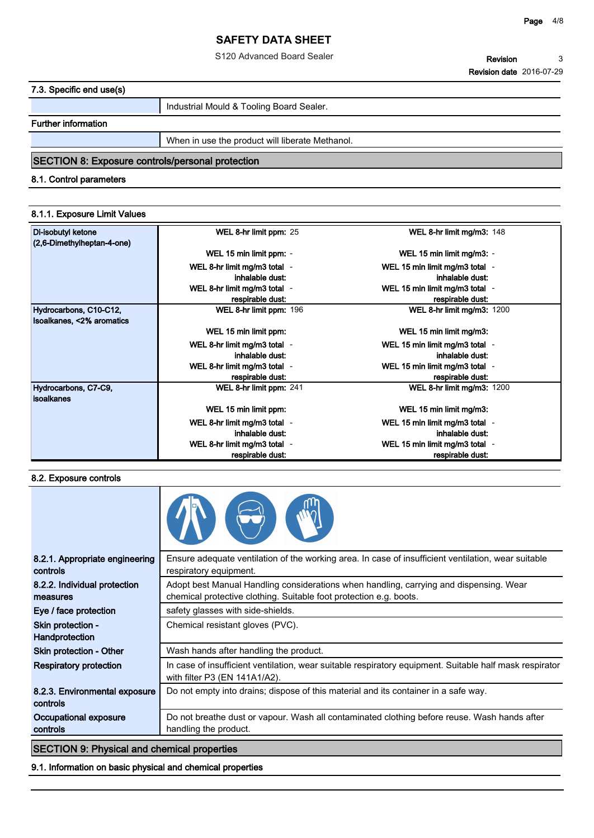### **Page 4/8**

# **SAFETY DATA SHEET**

S120 Advanced Board Sealer

## **7.3. Specific end use(s)**

**Industrial Mould & Tooling Board Sealer.**

## **Further information**

**When in use the product will liberate Methanol.**

# **SECTION 8: Exposure controls/personal protection**

## **8.1. Control parameters**

## **8.1.1. Exposure Limit Values**

| Di-isobutyl ketone<br>(2,6-Dimethylheptan-4-one)    | WEL 8-hr limit ppm: 25       | WEL 8-hr limit mg/m3: 148         |
|-----------------------------------------------------|------------------------------|-----------------------------------|
|                                                     | WEL 15 min limit ppm: -      | WEL 15 min limit mg/m3: -         |
|                                                     | WEL 8-hr limit mg/m3 total - | WEL 15 min limit mg/m3 total -    |
|                                                     | inhalable dust:              | inhalable dust:                   |
|                                                     | WEL 8-hr limit mg/m3 total - | WEL 15 min limit mg/m3 total -    |
|                                                     | respirable dust:             | respirable dust:                  |
| Hydrocarbons, C10-C12,<br>Isoalkanes, <2% aromatics | WEL 8-hr limit ppm: 196      | <b>WEL 8-hr limit mg/m3: 1200</b> |
|                                                     | WEL 15 min limit ppm:        | WEL 15 min limit mg/m3:           |
|                                                     | WEL 8-hr limit mg/m3 total - | WEL 15 min limit mg/m3 total -    |
|                                                     | inhalable dust:              | inhalable dust:                   |
|                                                     | WEL 8-hr limit mg/m3 total - | WEL 15 min limit mg/m3 total -    |
|                                                     | respirable dust:             | respirable dust:                  |
| Hydrocarbons, C7-C9,<br><b>isoalkanes</b>           | WEL 8-hr limit ppm: 241      | WEL 8-hr limit mg/m3: 1200        |
|                                                     | WEL 15 min limit ppm:        | WEL 15 min limit mg/m3:           |
|                                                     | WEL 8-hr limit mg/m3 total - | WEL 15 min limit mg/m3 total -    |
|                                                     | inhalable dust:              | inhalable dust:                   |
|                                                     | WEL 8-hr limit mg/m3 total - | WEL 15 min limit mg/m3 total -    |
|                                                     | respirable dust:             | respirable dust:                  |

### **8.2. Exposure controls**

| 8.2.1. Appropriate engineering<br>controls         | Ensure adequate ventilation of the working area. In case of insufficient ventilation, wear suitable<br>respiratory equipment.                                |
|----------------------------------------------------|--------------------------------------------------------------------------------------------------------------------------------------------------------------|
| 8.2.2. Individual protection<br>measures           | Adopt best Manual Handling considerations when handling, carrying and dispensing. Wear<br>chemical protective clothing. Suitable foot protection e.g. boots. |
| Eye / face protection                              | safety glasses with side-shields.                                                                                                                            |
| Skin protection -<br>Handprotection                | Chemical resistant gloves (PVC).                                                                                                                             |
| <b>Skin protection - Other</b>                     | Wash hands after handling the product.                                                                                                                       |
| <b>Respiratory protection</b>                      | In case of insufficient ventilation, wear suitable respiratory equipment. Suitable half mask respirator<br>with filter P3 (EN 141A1/A2).                     |
| 8.2.3. Environmental exposure<br>controls          | Do not empty into drains; dispose of this material and its container in a safe way.                                                                          |
| Occupational exposure<br>controls                  | Do not breathe dust or vapour. Wash all contaminated clothing before reuse. Wash hands after<br>handling the product.                                        |
| <b>SECTION 9: Physical and chemical properties</b> |                                                                                                                                                              |

**9.1. Information on basic physical and chemical properties**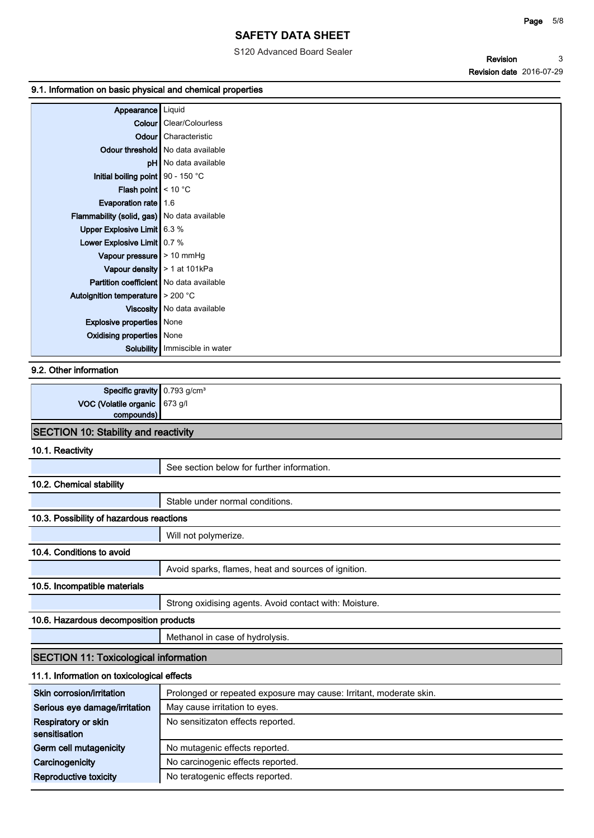### **Page 5/8**

# **SAFETY DATA SHEET**

S120 Advanced Board Sealer

**Revision Revision date 2016-07-29 3**

## **9.1. Information on basic physical and chemical properties**

| Appearance   Liquid                                   |                                       |
|-------------------------------------------------------|---------------------------------------|
|                                                       | <b>Colour</b> Clear/Colourless        |
|                                                       | <b>Odour</b> Characteristic           |
|                                                       | Odour threshold   No data available   |
|                                                       | pH No data available                  |
| Initial boiling point   90 - 150 °C                   |                                       |
| <b>Flash point</b> $\leq 10^{\circ}$ C                |                                       |
| Evaporation rate $\vert$ 1.6                          |                                       |
| Flammability (solid, gas)   No data available         |                                       |
| Upper Explosive Limit 6.3 %                           |                                       |
| Lower Explosive Limit $\sim 0.7 \%$                   |                                       |
| Vapour pressure $\geq 10$ mmHg                        |                                       |
| Vapour density $\vert$ > 1 at 101kPa                  |                                       |
| <b>Partition coefficient</b> No data available        |                                       |
| Autoignition temperature $\blacktriangleright$ 200 °C |                                       |
|                                                       | Viscosity   No data available         |
| <b>Explosive properties</b> None                      |                                       |
| Oxidising properties   None                           |                                       |
|                                                       | <b>Solubility</b> Immiscible in water |
|                                                       |                                       |

## **9.2. Other information**

| <b>Specific gravity</b> $0.793$ g/cm <sup>3</sup>                                                                                                                                                                               |  |  |
|---------------------------------------------------------------------------------------------------------------------------------------------------------------------------------------------------------------------------------|--|--|
| <b>VOC (Volatile organic <math> 673 g/l</math><br/>compounds)</b>                                                                                                                                                               |  |  |
|                                                                                                                                                                                                                                 |  |  |
| $CCTOTON140:$ $C15$ $E1:$ $C2:$ $C3:$ $C4:$ $C5:$ $C5:$ $C5:$ $C5:$ $C5:$ $C5:$ $C5:$ $C5:$ $C5:$ $C5:$ $C5:$ $C5:$ $C5:$ $C5:$ $C5:$ $C5:$ $C5:$ $C5:$ $C5:$ $C5:$ $C5:$ $C5:$ $C5:$ $C5:$ $C5:$ $C5:$ $C5:$ $C5:$ $C5:$ $C5:$ |  |  |

# **SECTION 10: Stability and reactivity**

## **10.1. Reactivity**

|                                              | See section below for further information.             |  |  |  |
|----------------------------------------------|--------------------------------------------------------|--|--|--|
| 10.2. Chemical stability                     |                                                        |  |  |  |
|                                              | Stable under normal conditions.                        |  |  |  |
| 10.3. Possibility of hazardous reactions     |                                                        |  |  |  |
|                                              | Will not polymerize.                                   |  |  |  |
| 10.4. Conditions to avoid                    |                                                        |  |  |  |
|                                              | Avoid sparks, flames, heat and sources of ignition.    |  |  |  |
| 10.5. Incompatible materials                 |                                                        |  |  |  |
|                                              | Strong oxidising agents. Avoid contact with: Moisture. |  |  |  |
| 10.6. Hazardous decomposition products       |                                                        |  |  |  |
|                                              | Methanol in case of hydrolysis.                        |  |  |  |
| <b>SECTION 11: Toxicological information</b> |                                                        |  |  |  |

# **11.1. Information on toxicological effects**

| Skin corrosion/irritation            | Prolonged or repeated exposure may cause: Irritant, moderate skin. |
|--------------------------------------|--------------------------------------------------------------------|
| Serious eye damage/irritation        | May cause irritation to eyes.                                      |
| Respiratory or skin<br>sensitisation | No sensitizaton effects reported.                                  |
| Germ cell mutagenicity               | No mutagenic effects reported.                                     |
| Carcinogenicity                      | No carcinogenic effects reported.                                  |
| Reproductive toxicity                | No teratogenic effects reported.                                   |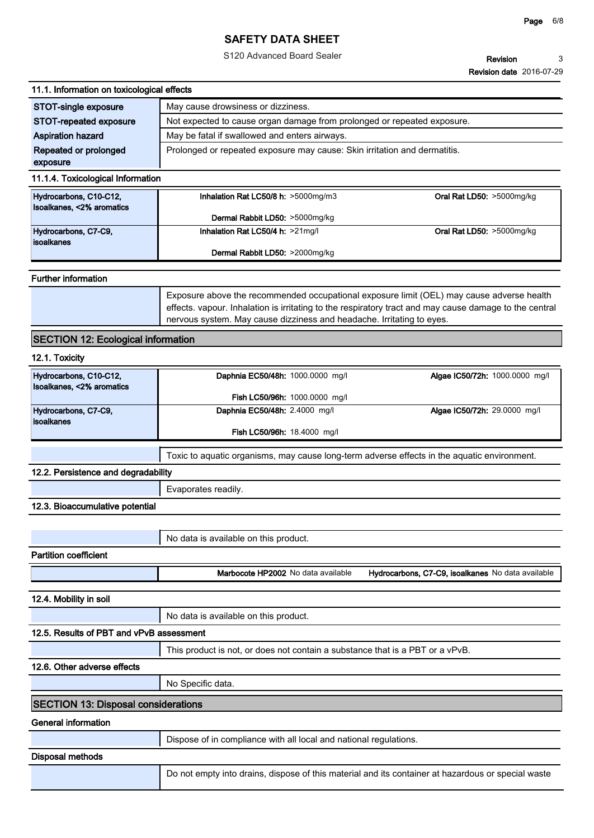S120 Advanced Board Sealer

**Revision Revision date 2016-07-29 3**

### **11.1. Information on toxicological effects**

| STOT-single exposure     | May cause drowsiness or dizziness.                                        |  |
|--------------------------|---------------------------------------------------------------------------|--|
| STOT-repeated exposure   | Not expected to cause organ damage from prolonged or repeated exposure.   |  |
| <b>Aspiration hazard</b> | May be fatal if swallowed and enters airways.                             |  |
| Repeated or prolonged    | Prolonged or repeated exposure may cause: Skin irritation and dermatitis. |  |
| exposure                 |                                                                           |  |

### **11.1.4. Toxicological Information**

| Hydrocarbons, C10-C12,<br>Isoalkanes, <2% aromatics | Inhalation Rat LC50/8 h: $>5000$ mg/m3 | Oral Rat LD50: >5000mg/kg |
|-----------------------------------------------------|----------------------------------------|---------------------------|
|                                                     | Dermal Rabbit LD50: >5000mg/kg         |                           |
| Hydrocarbons, C7-C9,<br><b>lisoalkanes</b>          | Inhalation Rat LC50/4 h: $>21$ mg/l    | Oral Rat LD50: >5000mg/kg |
|                                                     | Dermal Rabbit LD50: >2000mg/kg         |                           |

### **Further information**

**Exposure above the recommended occupational exposure limit (OEL) may cause adverse health effects. vapour. Inhalation is irritating to the respiratory tract and may cause damage to the central nervous system. May cause dizziness and headache. Irritating to eyes.**

## **SECTION 12: Ecological information**

### **12.1. Toxicity**

| Hydrocarbons, C10-C12,<br>Isoalkanes, <2% aromatics | Daphnia EC50/48h: 1000.0000 mg/l   | <b>Algae IC50/72h:</b> 1000.0000 mg/l |
|-----------------------------------------------------|------------------------------------|---------------------------------------|
|                                                     | Fish LC50/96h: 1000.0000 mg/l      |                                       |
| Hydrocarbons, C7-C9,<br><i><b>isoalkanes</b></i>    | Daphnia EC50/48h: 2.4000 mg/l      | Algae IC50/72h: 29.0000 mg/l          |
|                                                     | <b>Fish LC50/96h: 18.4000 mg/l</b> |                                       |

**Toxic to aquatic organisms, may cause long-term adverse effects in the aquatic environment.**

## **12.2. Persistence and degradability**

**Evaporates readily.**

### **12.3. Bioaccumulative potential**

|                              | No data is available on this product. |                                                   |
|------------------------------|---------------------------------------|---------------------------------------------------|
| <b>Partition coefficient</b> |                                       |                                                   |
|                              | Marbocote HP2002 No data available    | Hydrocarbons, C7-C9, isoalkanes No data available |

**12.4. Mobility in soil**

|                                          | <sup>1</sup> No data is available on this product. |
|------------------------------------------|----------------------------------------------------|
| 12.5. Results of PBT and vPvB assessment |                                                    |

**This product is not, or does not contain a substance that is a PBT or a vPvB.**

#### **12.6. Other adverse effects**

**No Specific data.**

### **SECTION 13: Disposal considerations**

**General information**

**Dispose of in compliance with all local and national regulations.**

### **Disposal methods**

**Do not empty into drains, dispose of this material and its container at hazardous or special waste**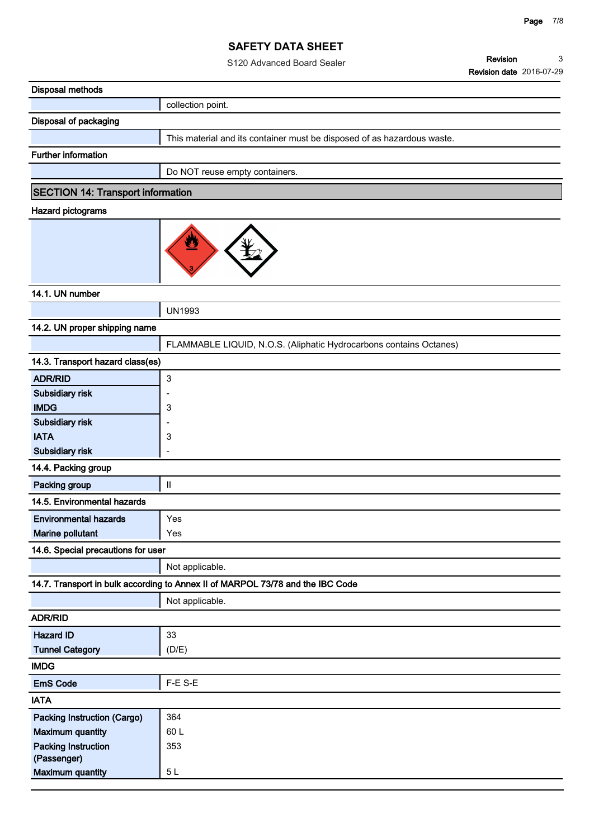|                                          | S120 Advanced Board Sealer                                                     | Revision<br>3                   |
|------------------------------------------|--------------------------------------------------------------------------------|---------------------------------|
|                                          |                                                                                | <b>Revision date 2016-07-29</b> |
| <b>Disposal methods</b>                  |                                                                                |                                 |
|                                          | collection point.                                                              |                                 |
| Disposal of packaging                    |                                                                                |                                 |
|                                          | This material and its container must be disposed of as hazardous waste.        |                                 |
| <b>Further information</b>               |                                                                                |                                 |
|                                          | Do NOT reuse empty containers.                                                 |                                 |
| <b>SECTION 14: Transport information</b> |                                                                                |                                 |
| Hazard pictograms                        |                                                                                |                                 |
|                                          | ፵                                                                              |                                 |
| 14.1. UN number                          |                                                                                |                                 |
|                                          | <b>UN1993</b>                                                                  |                                 |
| 14.2. UN proper shipping name            |                                                                                |                                 |
|                                          | FLAMMABLE LIQUID, N.O.S. (Aliphatic Hydrocarbons contains Octanes)             |                                 |
| 14.3. Transport hazard class(es)         |                                                                                |                                 |
| <b>ADR/RID</b>                           | $\ensuremath{\mathsf{3}}$                                                      |                                 |
| Subsidiary risk                          |                                                                                |                                 |
| <b>IMDG</b>                              | 3                                                                              |                                 |
| Subsidiary risk                          |                                                                                |                                 |
| <b>IATA</b>                              | 3                                                                              |                                 |
| <b>Subsidiary risk</b>                   | ۰                                                                              |                                 |
| 14.4. Packing group                      |                                                                                |                                 |
| Packing group                            | $\sf II$                                                                       |                                 |
| 14.5. Environmental hazards              |                                                                                |                                 |
| <b>Environmental hazards</b>             | Yes                                                                            |                                 |
| Marine pollutant                         | Yes                                                                            |                                 |
| 14.6. Special precautions for user       |                                                                                |                                 |
|                                          | Not applicable.                                                                |                                 |
|                                          | 14.7. Transport in bulk according to Annex II of MARPOL 73/78 and the IBC Code |                                 |
|                                          | Not applicable.                                                                |                                 |
| <b>ADR/RID</b>                           |                                                                                |                                 |
| <b>Hazard ID</b>                         | 33                                                                             |                                 |
| <b>Tunnel Category</b>                   | (D/E)                                                                          |                                 |
| <b>IMDG</b>                              |                                                                                |                                 |
| <b>EmS Code</b>                          | F-E S-E                                                                        |                                 |
| <b>IATA</b>                              |                                                                                |                                 |
| Packing Instruction (Cargo)              | 364                                                                            |                                 |
| <b>Maximum quantity</b>                  | 60L                                                                            |                                 |
| <b>Packing Instruction</b>               | 353                                                                            |                                 |
| (Passenger)<br><b>Maximum quantity</b>   | $5L$                                                                           |                                 |
|                                          |                                                                                |                                 |